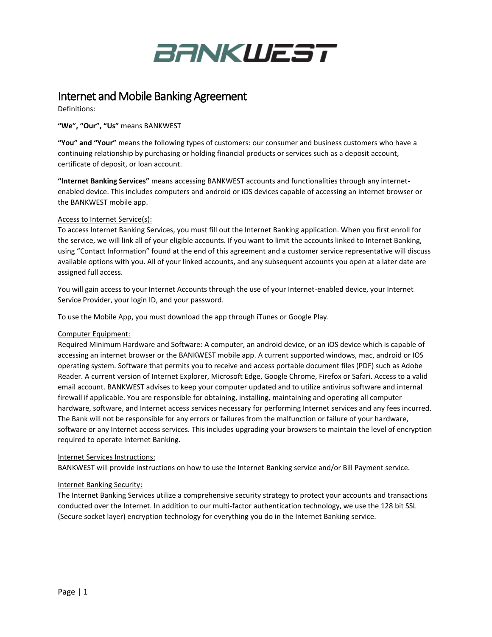

## Internet and Mobile Banking Agreement

Definitions:

**"We", "Our", "Us"** means BANKWEST

**"You" and "Your"** means the following types of customers: our consumer and business customers who have a continuing relationship by purchasing or holding financial products or services such as a deposit account, certificate of deposit, or loan account.

**"Internet Banking Services"** means accessing BANKWEST accounts and functionalities through any internetenabled device. This includes computers and android or iOS devices capable of accessing an internet browser or the BANKWEST mobile app.

#### Access to Internet Service(s):

To access Internet Banking Services, you must fill out the Internet Banking application. When you first enroll for the service, we will link all of your eligible accounts. If you want to limit the accounts linked to Internet Banking, using "Contact Information" found at the end of this agreement and a customer service representative will discuss available options with you. All of your linked accounts, and any subsequent accounts you open at a later date are assigned full access.

You will gain access to your Internet Accounts through the use of your Internet-enabled device, your Internet Service Provider, your login ID, and your password.

To use the Mobile App, you must download the app through iTunes or Google Play.

#### Computer Equipment:

Required Minimum Hardware and Software: A computer, an android device, or an iOS device which is capable of accessing an internet browser or the BANKWEST mobile app. A current supported windows, mac, android or IOS operating system. Software that permits you to receive and access portable document files (PDF) such as Adobe Reader. A current version of Internet Explorer, Microsoft Edge, Google Chrome, Firefox or Safari. Access to a valid email account. BANKWEST advises to keep your computer updated and to utilize antivirus software and internal firewall if applicable. You are responsible for obtaining, installing, maintaining and operating all computer hardware, software, and Internet access services necessary for performing Internet services and any fees incurred. The Bank will not be responsible for any errors or failures from the malfunction or failure of your hardware, software or any Internet access services. This includes upgrading your browsers to maintain the level of encryption required to operate Internet Banking.

#### Internet Services Instructions:

BANKWEST will provide instructions on how to use the Internet Banking service and/or Bill Payment service.

#### Internet Banking Security:

The Internet Banking Services utilize a comprehensive security strategy to protect your accounts and transactions conducted over the Internet. In addition to our multi-factor authentication technology, we use the 128 bit SSL (Secure socket layer) encryption technology for everything you do in the Internet Banking service.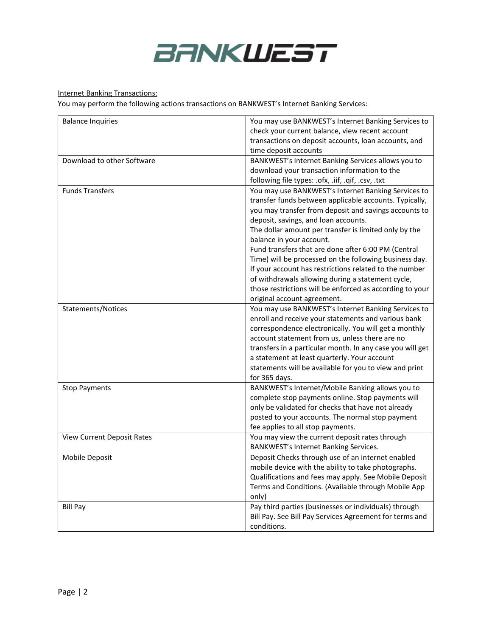

### Internet Banking Transactions:

You may perform the following actions transactions on BANKWEST's Internet Banking Services:

| <b>Balance Inquiries</b>          | You may use BANKWEST's Internet Banking Services to                                |
|-----------------------------------|------------------------------------------------------------------------------------|
|                                   | check your current balance, view recent account                                    |
|                                   | transactions on deposit accounts, loan accounts, and                               |
|                                   | time deposit accounts                                                              |
| Download to other Software        | BANKWEST's Internet Banking Services allows you to                                 |
|                                   | download your transaction information to the                                       |
|                                   | following file types: .ofx, .iif, .qif, .csv, .txt                                 |
| <b>Funds Transfers</b>            | You may use BANKWEST's Internet Banking Services to                                |
|                                   | transfer funds between applicable accounts. Typically,                             |
|                                   | you may transfer from deposit and savings accounts to                              |
|                                   | deposit, savings, and loan accounts.                                               |
|                                   | The dollar amount per transfer is limited only by the                              |
|                                   | balance in your account.                                                           |
|                                   | Fund transfers that are done after 6:00 PM (Central                                |
|                                   | Time) will be processed on the following business day.                             |
|                                   | If your account has restrictions related to the number                             |
|                                   | of withdrawals allowing during a statement cycle,                                  |
|                                   | those restrictions will be enforced as according to your                           |
|                                   |                                                                                    |
|                                   | original account agreement.<br>You may use BANKWEST's Internet Banking Services to |
| Statements/Notices                | enroll and receive your statements and various bank                                |
|                                   |                                                                                    |
|                                   | correspondence electronically. You will get a monthly                              |
|                                   | account statement from us, unless there are no                                     |
|                                   | transfers in a particular month. In any case you will get                          |
|                                   | a statement at least quarterly. Your account                                       |
|                                   | statements will be available for you to view and print                             |
|                                   | for 365 days.                                                                      |
| <b>Stop Payments</b>              | BANKWEST's Internet/Mobile Banking allows you to                                   |
|                                   | complete stop payments online. Stop payments will                                  |
|                                   | only be validated for checks that have not already                                 |
|                                   | posted to your accounts. The normal stop payment                                   |
|                                   | fee applies to all stop payments.                                                  |
| <b>View Current Deposit Rates</b> | You may view the current deposit rates through                                     |
|                                   | BANKWEST's Internet Banking Services.                                              |
| Mobile Deposit                    | Deposit Checks through use of an internet enabled                                  |
|                                   | mobile device with the ability to take photographs.                                |
|                                   | Qualifications and fees may apply. See Mobile Deposit                              |
|                                   | Terms and Conditions. (Available through Mobile App                                |
|                                   | only)                                                                              |
| <b>Bill Pay</b>                   | Pay third parties (businesses or individuals) through                              |
|                                   | Bill Pay. See Bill Pay Services Agreement for terms and                            |
|                                   | conditions.                                                                        |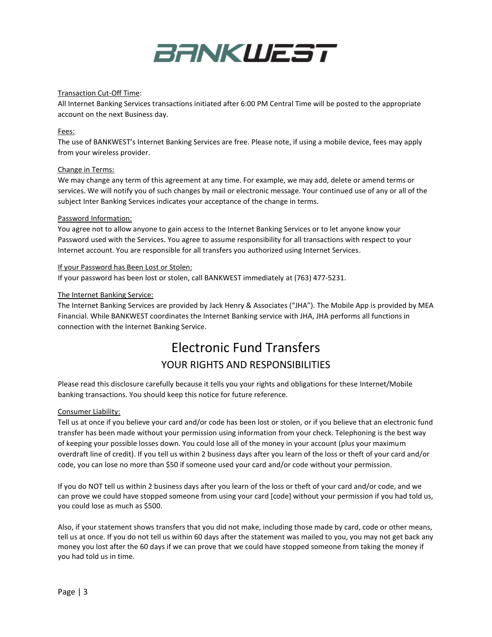

#### Transaction Cut-Off Time:

All Internet Banking Services transactions initiated after 6:00 PM Central Time will be posted to the appropriate account on the next Business day.

#### Fees:

The use of BANKWEST's Internet Banking Services are free. Please note, if using a mobile device, fees may apply from your wireless provider.

#### Change in Terms:

We may change any term of this agreement at any time. For example, we may add, delete or amend terms or services. We will notify you of such changes by mail or electronic message. Your continued use of any or all of the subject Inter Banking Services indicates your acceptance of the change in terms.

#### Password Information:

You agree not to allow anyone to gain access to the Internet Banking Services or to let anyone know your Password used with the Services. You agree to assume responsibility for all transactions with respect to your Internet account. You are responsible for all transfers you authorized using Internet Services.

#### If your Password has Been Lost or Stolen:

If your password has been lost or stolen, call BANKWEST immediately at (763) 477-5231.

#### The Internet Banking Service:

The Internet Banking Services are provided by Jack Henry & Associates ("JHA"). The Mobile App is provided by MEA Financial. While BANKWEST coordinates the Internet Banking service with JHA, JHA performs all functions in connection with the Internet Banking Service.

# Electronic Fund Transfers YOUR RIGHTS AND RESPONSIBILITIES

Please read this disclosure carefully because it tells you your rights and obligations for these Internet/Mobile banking transactions. You should keep this notice for future reference.

#### Consumer Liability:

Tell us at once if you believe your card and/or code has been lost or stolen, or if you believe that an electronic fund transfer has been made without your permission using information from your check. Telephoning is the best way of keeping your possible losses down. You could lose all of the money in your account (plus your maximum overdraft line of credit). If you tell us within 2 business days after you learn of the loss or theft of your card and/or code, you can lose no more than \$50 if someone used your card and/or code without your permission.

If you do NOT tell us within 2 business days after you learn of the loss or theft of your card and/or code, and we can prove we could have stopped someone from using your card [code] without your permission if you had told us, you could lose as much as \$500.

Also, if your statement shows transfers that you did not make, including those made by card, code or other means, tell us at once. If you do not tell us within 60 days after the statement was mailed to you, you may not get back any money you lost after the 60 days if we can prove that we could have stopped someone from taking the money if you had told us in time.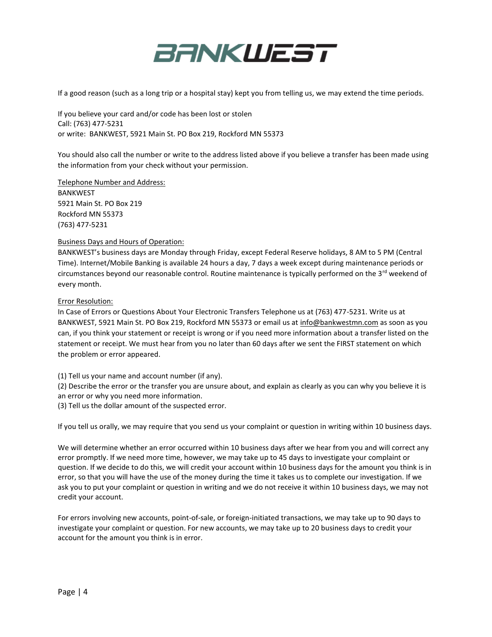

If a good reason (such as a long trip or a hospital stay) kept you from telling us, we may extend the time periods.

If you believe your card and/or code has been lost or stolen Call: (763) 477-5231 or write: BANKWEST, 5921 Main St. PO Box 219, Rockford MN 55373

You should also call the number or write to the address listed above if you believe a transfer has been made using the information from your check without your permission.

Telephone Number and Address:

BANKWEST 5921 Main St. PO Box 219 Rockford MN 55373 (763) 477-5231

#### Business Days and Hours of Operation:

BANKWEST's business days are Monday through Friday, except Federal Reserve holidays, 8 AM to 5 PM (Central Time). Internet/Mobile Banking is available 24 hours a day, 7 days a week except during maintenance periods or circumstances beyond our reasonable control. Routine maintenance is typically performed on the 3<sup>rd</sup> weekend of every month.

#### Error Resolution:

In Case of Errors or Questions About Your Electronic Transfers Telephone us at (763) 477-5231. Write us at BANKWEST, 5921 Main St. PO Box 219, Rockford MN 55373 or email us a[t info@bankwestmn.com](mailto:info@bankwestmn.com) as soon as you can, if you think your statement or receipt is wrong or if you need more information about a transfer listed on the statement or receipt. We must hear from you no later than 60 days after we sent the FIRST statement on which the problem or error appeared.

(1) Tell us your name and account number (if any).

(2) Describe the error or the transfer you are unsure about, and explain as clearly as you can why you believe it is an error or why you need more information.

(3) Tell us the dollar amount of the suspected error.

If you tell us orally, we may require that you send us your complaint or question in writing within 10 business days.

We will determine whether an error occurred within 10 business days after we hear from you and will correct any error promptly. If we need more time, however, we may take up to 45 days to investigate your complaint or question. If we decide to do this, we will credit your account within 10 business days for the amount you think is in error, so that you will have the use of the money during the time it takes us to complete our investigation. If we ask you to put your complaint or question in writing and we do not receive it within 10 business days, we may not credit your account.

For errors involving new accounts, point-of-sale, or foreign-initiated transactions, we may take up to 90 days to investigate your complaint or question. For new accounts, we may take up to 20 business days to credit your account for the amount you think is in error.